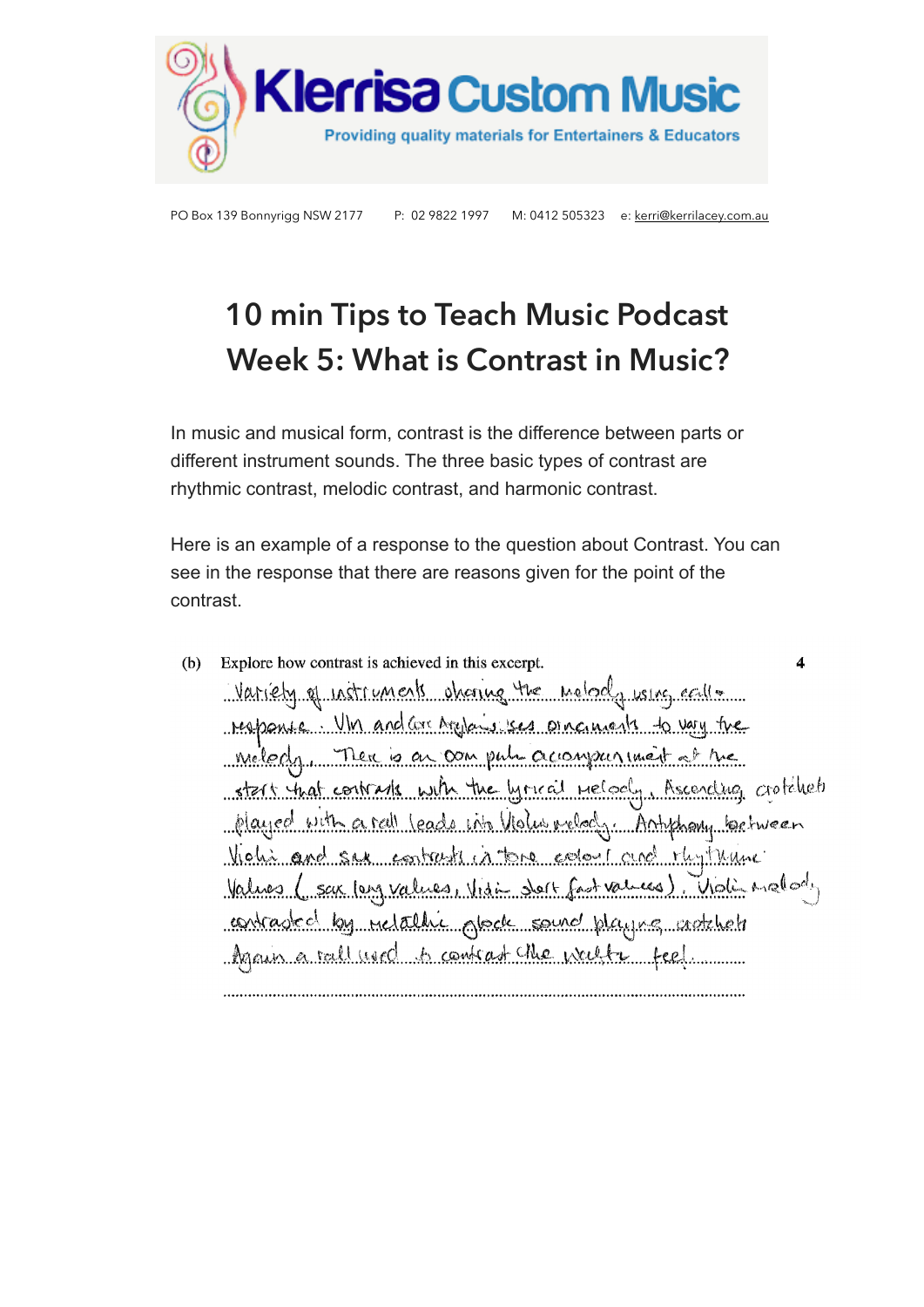

# **10 min Tips to Teach Music Podcast Week 5: What is Contrast in Music?**

In music and musical form, contrast is the difference between parts or different instrument sounds. The three basic types of contrast are rhythmic contrast, melodic contrast, and harmonic contrast.

Here is an example of a response to the question about Contrast. You can see in the response that there are reasons given for the point of the contrast.

Explore how contrast is achieved in this excerpt.  $(b)$ 4 Variety of notruments obtained the molocly using eally response. Un and corresponsives on cancels to vay tre miledy. There is an computer accompanyment of the Recording crotchet start that contrasts with the lyrical nelod played with a rall leads into Violus ralochy Antiphany between hohi and sex contrasts in tens eclose cure that theme Values (sax long values, Visit dort fast values). Violi malody contradict by relative glock sound playing sadahetr Again a rall used to contrast the weeks feel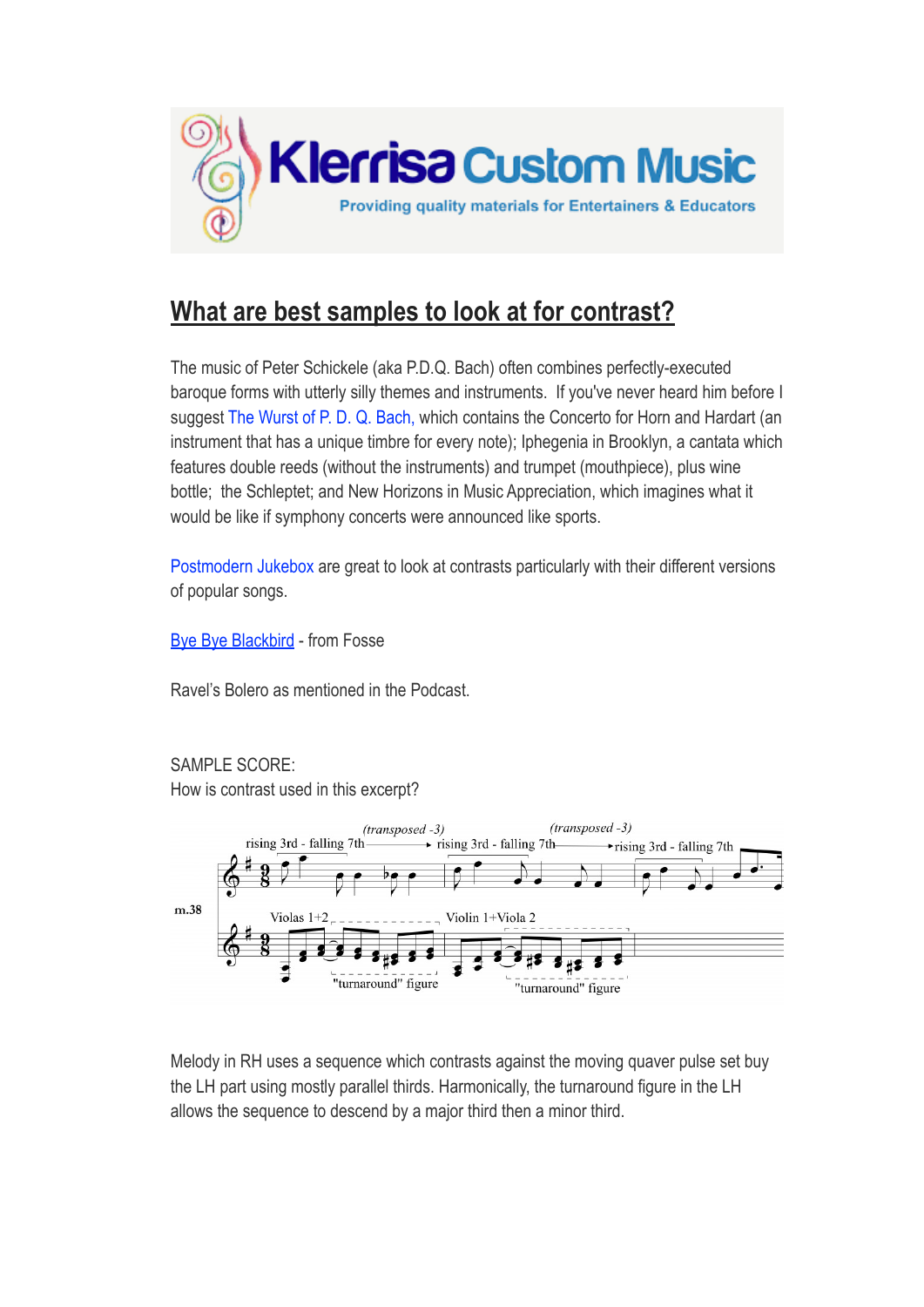

# **What are best samples to look at for contrast?**

The music of Peter Schickele (aka P.D.Q. Bach) often combines perfectly-executed baroque forms with utterly silly themes and instruments. If you've never heard him before I suggest [The Wurst of P. D. Q. Bach,](http://en.wikipedia.org/wiki/The_Wurst_of_P._D._Q._Bach) which contains the Concerto for Horn and Hardart (an instrument that has a unique timbre for every note); Iphegenia in Brooklyn, a cantata which features double reeds (without the instruments) and trumpet (mouthpiece), plus wine bottle; the Schleptet; and New Horizons in Music Appreciation, which imagines what it would be like if symphony concerts were announced like sports.

Postmodern Jukebox are great to look at contrasts particularly with their different versions of popular songs.

**[Bye Bye Blackbird](https://www.youtube.com/watch?v=zWcxwEnY5vg) - from Fosse** 

Ravel's Bolero as mentioned in the Podcast.

SAMPLE SCORE:

How is contrast used in this excerpt?



Melody in RH uses a sequence which contrasts against the moving quaver pulse set buy the LH part using mostly parallel thirds. Harmonically, the turnaround figure in the LH allows the sequence to descend by a major third then a minor third.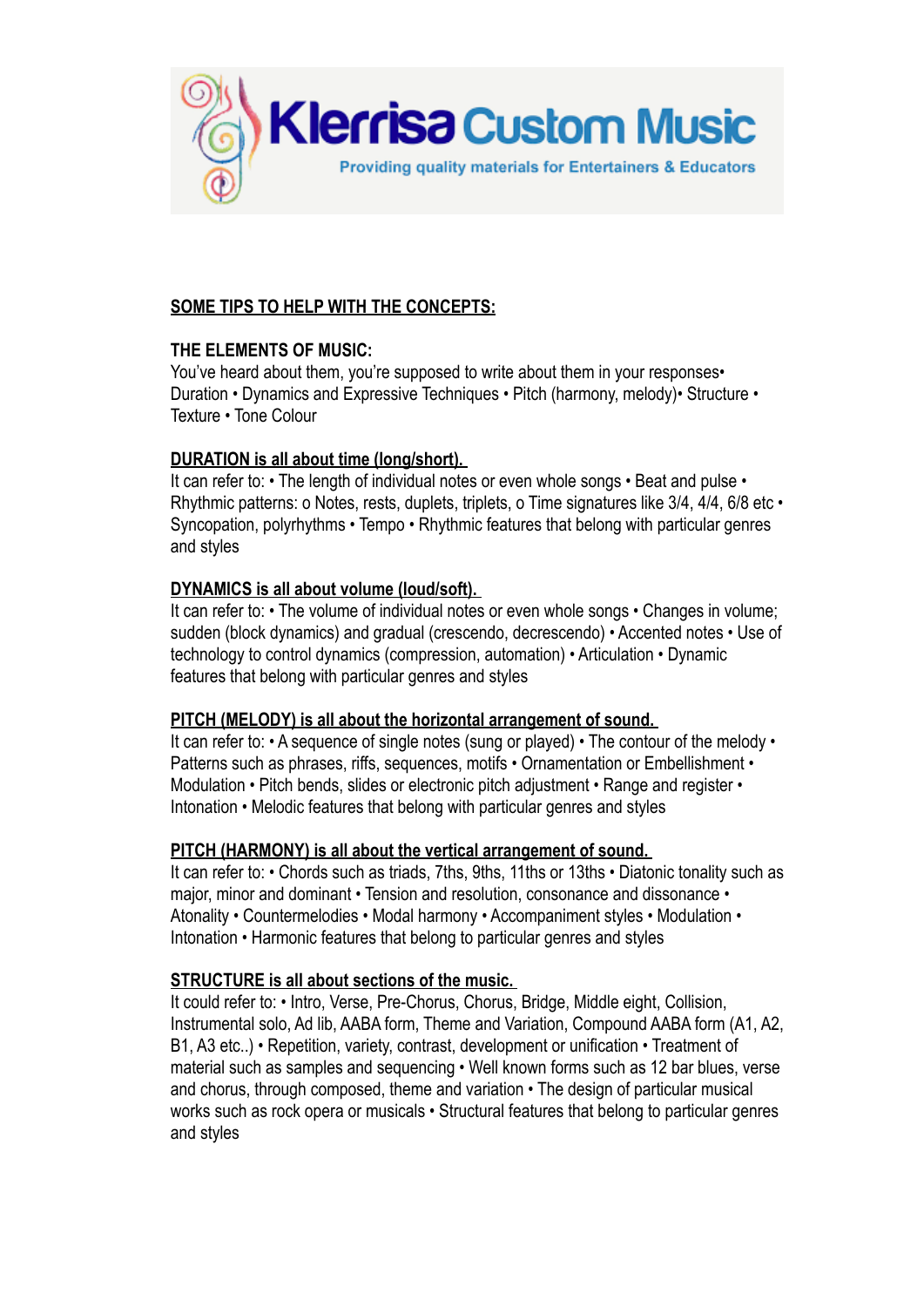

# **SOME TIPS TO HELP WITH THE CONCEPTS:**

# **THE ELEMENTS OF MUSIC:**

You've heard about them, you're supposed to write about them in your responses. Duration • Dynamics and Expressive Techniques • Pitch (harmony, melody)• Structure • Texture • Tone Colour

# **DURATION is all about time (long/short).**

It can refer to: • The length of individual notes or even whole songs • Beat and pulse • Rhythmic patterns: o Notes, rests, duplets, triplets, o Time signatures like 3/4, 4/4, 6/8 etc • Syncopation, polyrhythms • Tempo • Rhythmic features that belong with particular genres and styles

# **DYNAMICS is all about volume (loud/soft).**

It can refer to: • The volume of individual notes or even whole songs • Changes in volume; sudden (block dynamics) and gradual (crescendo, decrescendo) • Accented notes • Use of technology to control dynamics (compression, automation) • Articulation • Dynamic features that belong with particular genres and styles

#### **PITCH (MELODY) is all about the horizontal arrangement of sound.**

It can refer to: • A sequence of single notes (sung or played) • The contour of the melody • Patterns such as phrases, riffs, sequences, motifs • Ornamentation or Embellishment • Modulation • Pitch bends, slides or electronic pitch adjustment • Range and register • Intonation • Melodic features that belong with particular genres and styles

#### **PITCH (HARMONY) is all about the vertical arrangement of sound.**

It can refer to: • Chords such as triads, 7ths, 9ths, 11ths or 13ths • Diatonic tonality such as major, minor and dominant • Tension and resolution, consonance and dissonance • Atonality • Countermelodies • Modal harmony • Accompaniment styles • Modulation • Intonation • Harmonic features that belong to particular genres and styles

#### **STRUCTURE is all about sections of the music.**

It could refer to: • Intro, Verse, Pre-Chorus, Chorus, Bridge, Middle eight, Collision, Instrumental solo, Ad lib, AABA form, Theme and Variation, Compound AABA form (A1, A2, B1, A3 etc..) • Repetition, variety, contrast, development or unification • Treatment of material such as samples and sequencing • Well known forms such as 12 bar blues, verse and chorus, through composed, theme and variation • The design of particular musical works such as rock opera or musicals • Structural features that belong to particular genres and styles